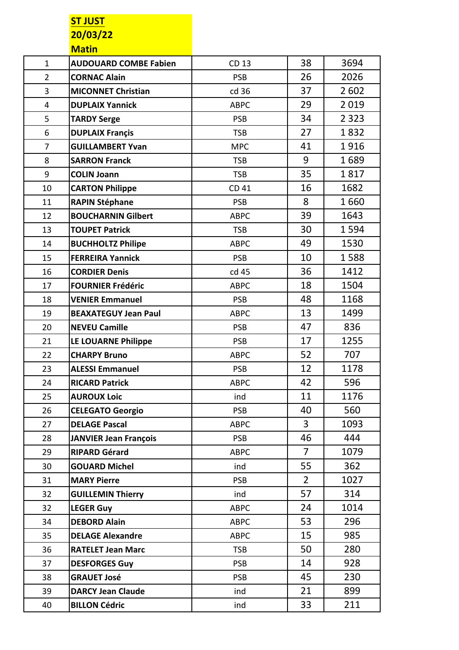## **ST JUST 20/03/22 Matin**

|                | IVIG LII I                   |             |                |         |
|----------------|------------------------------|-------------|----------------|---------|
| $\mathbf{1}$   | <b>AUDOUARD COMBE Fabien</b> | CD 13       | 38             | 3694    |
| $\overline{2}$ | <b>CORNAC Alain</b>          | <b>PSB</b>  | 26             | 2026    |
| 3              | <b>MICONNET Christian</b>    | cd 36       | 37             | 2 6 0 2 |
| $\overline{4}$ | <b>DUPLAIX Yannick</b>       | <b>ABPC</b> | 29             | 2019    |
| 5              | <b>TARDY Serge</b>           | <b>PSB</b>  | 34             | 2 3 2 3 |
| $6\,$          | <b>DUPLAIX Francis</b>       | <b>TSB</b>  | 27             | 1832    |
| $\overline{7}$ | <b>GUILLAMBERT Yvan</b>      | <b>MPC</b>  | 41             | 1916    |
| 8              | <b>SARRON Franck</b>         | <b>TSB</b>  | 9              | 1689    |
| 9              | <b>COLIN Joann</b>           | <b>TSB</b>  | 35             | 1817    |
| 10             | <b>CARTON Philippe</b>       | CD 41       | 16             | 1682    |
| 11             | <b>RAPIN Stéphane</b>        | <b>PSB</b>  | 8              | 1660    |
| 12             | <b>BOUCHARNIN Gilbert</b>    | <b>ABPC</b> | 39             | 1643    |
| 13             | <b>TOUPET Patrick</b>        | <b>TSB</b>  | 30             | 1594    |
| 14             | <b>BUCHHOLTZ Philipe</b>     | <b>ABPC</b> | 49             | 1530    |
| 15             | <b>FERREIRA Yannick</b>      | <b>PSB</b>  | 10             | 1588    |
| 16             | <b>CORDIER Denis</b>         | cd 45       | 36             | 1412    |
| 17             | <b>FOURNIER Frédéric</b>     | <b>ABPC</b> | 18             | 1504    |
| 18             | <b>VENIER Emmanuel</b>       | <b>PSB</b>  | 48             | 1168    |
| 19             | <b>BEAXATEGUY Jean Paul</b>  | <b>ABPC</b> | 13             | 1499    |
| 20             | <b>NEVEU Camille</b>         | <b>PSB</b>  | 47             | 836     |
| 21             | LE LOUARNE Philippe          | <b>PSB</b>  | 17             | 1255    |
| 22             | <b>CHARPY Bruno</b>          | <b>ABPC</b> | 52             | 707     |
| 23             | <b>ALESSI Emmanuel</b>       | <b>PSB</b>  | 12             | 1178    |
| 24             | <b>RICARD Patrick</b>        | <b>ABPC</b> | 42             | 596     |
| 25             | <b>AUROUX Loic</b>           | ind         | 11             | 1176    |
| 26             | <b>CELEGATO Georgio</b>      | <b>PSB</b>  | 40             | 560     |
| 27             | <b>DELAGE Pascal</b>         | <b>ABPC</b> | $\overline{3}$ | 1093    |
| 28             | <b>JANVIER Jean François</b> | <b>PSB</b>  | 46             | 444     |
| 29             | <b>RIPARD Gérard</b>         | <b>ABPC</b> | $\overline{7}$ | 1079    |
| 30             | <b>GOUARD Michel</b>         | ind         | 55             | 362     |
| 31             | <b>MARY Pierre</b>           | <b>PSB</b>  | $\overline{2}$ | 1027    |
| 32             | <b>GUILLEMIN Thierry</b>     | ind         | 57             | 314     |
| 32             | <b>LEGER Guy</b>             | <b>ABPC</b> | 24             | 1014    |
| 34             | <b>DEBORD Alain</b>          | <b>ABPC</b> | 53             | 296     |
| 35             | <b>DELAGE Alexandre</b>      | <b>ABPC</b> | 15             | 985     |
| 36             | <b>RATELET Jean Marc</b>     | <b>TSB</b>  | 50             | 280     |
| 37             | <b>DESFORGES Guy</b>         | <b>PSB</b>  | 14             | 928     |
| 38             | <b>GRAUET José</b>           | <b>PSB</b>  | 45             | 230     |
| 39             | <b>DARCY Jean Claude</b>     | ind         | 21             | 899     |
| 40             | <b>BILLON Cédric</b>         | ind         | 33             | 211     |
|                |                              |             |                |         |